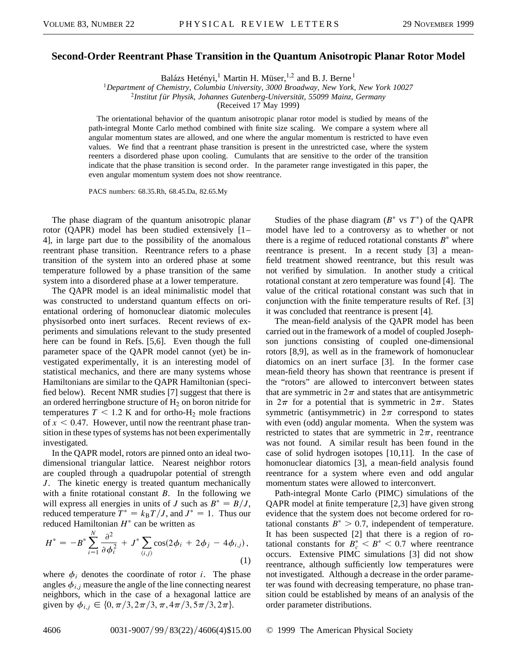## **Second-Order Reentrant Phase Transition in the Quantum Anisotropic Planar Rotor Model**

Balázs Hetényi,<sup>1</sup> Martin H. Müser,<sup>1,2</sup> and B. J. Berne<sup>1</sup>

<sup>1</sup>*Department of Chemistry, Columbia University, 3000 Broadway, New York, New York 10027*

<sup>2</sup>*Institut für Physik, Johannes Gutenberg-Universität, 55099 Mainz, Germany*

(Received 17 May 1999)

The orientational behavior of the quantum anisotropic planar rotor model is studied by means of the path-integral Monte Carlo method combined with finite size scaling. We compare a system where all angular momentum states are allowed, and one where the angular momentum is restricted to have even values. We find that a reentrant phase transition is present in the unrestricted case, where the system reenters a disordered phase upon cooling. Cumulants that are sensitive to the order of the transition indicate that the phase transition is second order. In the parameter range investigated in this paper, the even angular momentum system does not show reentrance.

PACS numbers: 68.35.Rh, 68.45.Da, 82.65.My

The phase diagram of the quantum anisotropic planar rotor (QAPR) model has been studied extensively [1– 4], in large part due to the possibility of the anomalous reentrant phase transition. Reentrance refers to a phase transition of the system into an ordered phase at some temperature followed by a phase transition of the same system into a disordered phase at a lower temperature.

The QAPR model is an ideal minimalistic model that was constructed to understand quantum effects on orientational ordering of homonuclear diatomic molecules physisorbed onto inert surfaces. Recent reviews of experiments and simulations relevant to the study presented here can be found in Refs. [5,6]. Even though the full parameter space of the QAPR model cannot (yet) be investigated experimentally, it is an interesting model of statistical mechanics, and there are many systems whose Hamiltonians are similar to the QAPR Hamiltonian (specified below). Recent NMR studies [7] suggest that there is an ordered herringbone structure of  $H<sub>2</sub>$  on boron nitride for temperatures  $T < 1.2$  K and for ortho-H<sub>2</sub> mole fractions of  $x < 0.47$ . However, until now the reentrant phase transition in these types of systems has not been experimentally investigated.

In the QAPR model, rotors are pinned onto an ideal twodimensional triangular lattice. Nearest neighbor rotors are coupled through a quadrupolar potential of strength *J*. The kinetic energy is treated quantum mechanically with a finite rotational constant *B*. In the following we will express all energies in units of *J* such as  $B^* = B/J$ , reduced temperature  $T^* = k_B T / J$ , and  $J^* = 1$ . Thus our reduced Hamiltonian  $H^*$  can be written as

$$
H^* = -B^* \sum_{i=1}^{N} \frac{\partial^2}{\partial \phi_i^2} + J^* \sum_{\langle i,j \rangle} \cos(2\phi_i + 2\phi_j - 4\phi_{i,j}),
$$
\n(1)

where  $\phi_i$  denotes the coordinate of rotor *i*. The phase angles  $\phi_{i,j}$  measure the angle of the line connecting nearest neighbors, which in the case of a hexagonal lattice are given by  $\phi_{i,j} \in \{0, \pi/3, 2\pi/3, \pi, 4\pi/3, 5\pi/3, 2\pi\}.$ 

Studies of the phase diagram  $(B^*$  vs  $T^*$ ) of the QAPR model have led to a controversy as to whether or not there is a regime of reduced rotational constants  $B^*$  where reentrance is present. In a recent study [3] a meanfield treatment showed reentrance, but this result was not verified by simulation. In another study a critical rotational constant at zero temperature was found [4]. The value of the critical rotational constant was such that in conjunction with the finite temperature results of Ref. [3] it was concluded that reentrance is present [4].

The mean-field analysis of the QAPR model has been carried out in the framework of a model of coupled Josephson junctions consisting of coupled one-dimensional rotors [8,9], as well as in the framework of homonuclear diatomics on an inert surface [3]. In the former case mean-field theory has shown that reentrance is present if the "rotors" are allowed to interconvert between states that are symmetric in  $2\pi$  and states that are antisymmetric in  $2\pi$  for a potential that is symmetric in  $2\pi$ . States symmetric (antisymmetric) in  $2\pi$  correspond to states with even (odd) angular momenta. When the system was restricted to states that are symmetric in  $2\pi$ , reentrance was not found. A similar result has been found in the case of solid hydrogen isotopes [10,11]. In the case of homonuclear diatomics [3], a mean-field analysis found reentrance for a system where even and odd angular momentum states were allowed to interconvert.

Path-integral Monte Carlo (PIMC) simulations of the QAPR model at finite temperature [2,3] have given strong evidence that the system does not become ordered for rotational constants  $B^* > 0.7$ , independent of temperature. It has been suspected [2] that there is a region of rotational constants for  $B_c^* < B^* < 0.7$  where reentrance occurs. Extensive PIMC simulations [3] did not show reentrance, although sufficiently low temperatures were not investigated. Although a decrease in the order parameter was found with decreasing temperature, no phase transition could be established by means of an analysis of the order parameter distributions.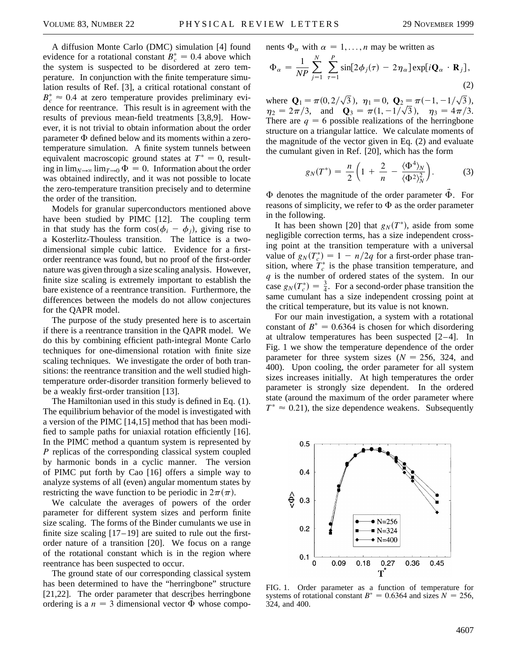A diffusion Monte Carlo (DMC) simulation [4] found evidence for a rotational constant  $B_c^* = 0.4$  above which the system is suspected to be disordered at zero temperature. In conjunction with the finite temperature simulation results of Ref. [3], a critical rotational constant of  $B_c^* \approx 0.4$  at zero temperature provides preliminary evidence for reentrance. This result is in agreement with the results of previous mean-field treatments [3,8,9]. However, it is not trivial to obtain information about the order parameter  $\Phi$  defined below and its moments within a zerotemperature simulation. A finite system tunnels between equivalent macroscopic ground states at  $T^* = 0$ , resulting in  $\lim_{N\to\infty}$  lim<sub>*T* $\to$ 0</sub>  $\Phi = 0$ . Information about the order was obtained indirectly, and it was not possible to locate the zero-temperature transition precisely and to determine the order of the transition.

Models for granular superconductors mentioned above have been studied by PIMC [12]. The coupling term in that study has the form  $\cos(\phi_i - \phi_i)$ , giving rise to a Kosterlitz-Thouless transition. The lattice is a twodimensional simple cubic lattice. Evidence for a firstorder reentrance was found, but no proof of the first-order nature was given through a size scaling analysis. However, finite size scaling is extremely important to establish the bare existence of a reentrance transition. Furthermore, the differences between the models do not allow conjectures for the QAPR model.

The purpose of the study presented here is to ascertain if there is a reentrance transition in the QAPR model. We do this by combining efficient path-integral Monte Carlo techniques for one-dimensional rotation with finite size scaling techniques. We investigate the order of both transitions: the reentrance transition and the well studied hightemperature order-disorder transition formerly believed to be a weakly first-order transition [13].

The Hamiltonian used in this study is defined in Eq. (1). The equilibrium behavior of the model is investigated with a version of the PIMC [14,15] method that has been modified to sample paths for uniaxial rotation efficiently [16]. In the PIMC method a quantum system is represented by *P* replicas of the corresponding classical system coupled by harmonic bonds in a cyclic manner. The version of PIMC put forth by Cao [16] offers a simple way to analyze systems of all (even) angular momentum states by restricting the wave function to be periodic in  $2\pi(\pi)$ .

We calculate the averages of powers of the order parameter for different system sizes and perform finite size scaling. The forms of the Binder cumulants we use in finite size scaling  $[17–19]$  are suited to rule out the firstorder nature of a transition [20]. We focus on a range of the rotational constant which is in the region where reentrance has been suspected to occur.

The ground state of our corresponding classical system has been determined to have the "herringbone" structure [21,22]. The order parameter that describes herringbone ordering is a  $n = 3$  dimensional vector  $\vec{\Phi}$  whose components  $\Phi_{\alpha}$  with  $\alpha = 1, \ldots, n$  may be written as

$$
\Phi_{\alpha} = \frac{1}{NP} \sum_{j=1}^{N} \sum_{\tau=1}^{P} \sin[2\phi_j(\tau) - 2\eta_{\alpha}] \exp[i\mathbf{Q}_{\alpha} \cdot \mathbf{R}_j],
$$
\n(2)

where  $\mathbf{Q}_1 = \pi(0, 2)$ p  $\overline{3}$ ),  $\eta_1 = 0$ , **Q**<sub>2</sub> =  $\pi(-1, -1)$ p  $a_2 = \pi(-1, -1/\sqrt{3}),$  $\eta_2 = 2\pi/3$ , and  $\mathbf{Q}_3 = \pi(1, -1/\sqrt{3})$ ,  $\eta_3 = 4\pi/3$ . There are  $q = 6$  possible realizations of the herringbone structure on a triangular lattice. We calculate moments of the magnitude of the vector given in Eq. (2) and evaluate the cumulant given in Ref. [20], which has the form

$$
g_N(T^*) = \frac{n}{2} \left( 1 + \frac{2}{n} - \frac{\langle \Phi^4 \rangle_N}{\langle \Phi^2 \rangle_N^2} \right). \tag{3}
$$

 $\Phi$  denotes the magnitude of the order parameter  $\vec{\Phi}$ . For reasons of simplicity, we refer to  $\Phi$  as the order parameter in the following.

It has been shown [20] that  $g<sub>N</sub>(T^*)$ , aside from some negligible correction terms, has a size independent crossing point at the transition temperature with a universal value of  $g_N(T_c^*) = 1 - n/2q$  for a first-order phase transition, where  $T_c^*$  is the phase transition temperature, and *q* is the number of ordered states of the system. In our case  $g_N(T_c^*) = \frac{3}{4}$ . For a second-order phase transition the same cumulant has a size independent crossing point at the critical temperature, but its value is not known.

For our main investigation, a system with a rotational constant of  $B^* = 0.6364$  is chosen for which disordering at ultralow temperatures has been suspected [2–4]. In Fig. 1 we show the temperature dependence of the order parameter for three system sizes  $(N = 256, 324,$  and 400). Upon cooling, the order parameter for all system sizes increases initially. At high temperatures the order parameter is strongly size dependent. In the ordered state (around the maximum of the order parameter where  $T^* \approx 0.21$ , the size dependence weakens. Subsequently



FIG. 1. Order parameter as a function of temperature for systems of rotational constant  $B^* = 0.6364$  and sizes  $N = 256$ , 324, and 400.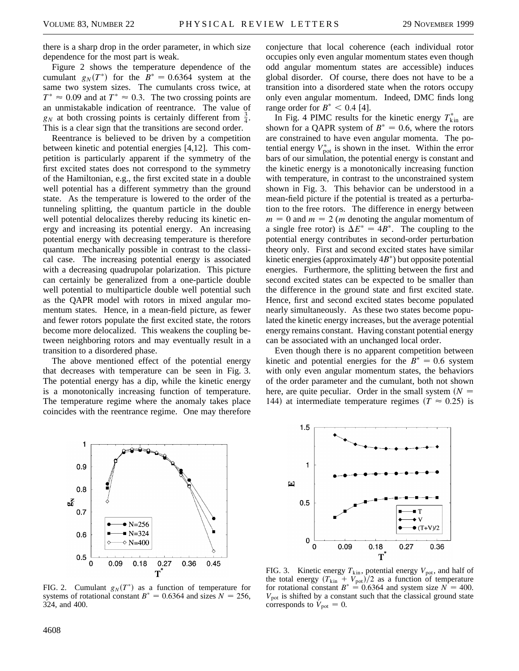there is a sharp drop in the order parameter, in which size dependence for the most part is weak.

Figure 2 shows the temperature dependence of the cumulant  $g_N(T^*)$  for the  $B^* = 0.6364$  system at the same two system sizes. The cumulants cross twice, at  $T^* \approx 0.09$  and at  $T^* \approx 0.3$ . The two crossing points are an unmistakable indication of reentrance. The value of  $g_N$  at both crossing points is certainly different from  $\frac{3}{4}$ . This is a clear sign that the transitions are second order.

Reentrance is believed to be driven by a competition between kinetic and potential energies [4,12]. This competition is particularly apparent if the symmetry of the first excited states does not correspond to the symmetry of the Hamiltonian, e.g., the first excited state in a double well potential has a different symmetry than the ground state. As the temperature is lowered to the order of the tunneling splitting, the quantum particle in the double well potential delocalizes thereby reducing its kinetic energy and increasing its potential energy. An increasing potential energy with decreasing temperature is therefore quantum mechanically possible in contrast to the classical case. The increasing potential energy is associated with a decreasing quadrupolar polarization. This picture can certainly be generalized from a one-particle double well potential to multiparticle double well potential such as the QAPR model with rotors in mixed angular momentum states. Hence, in a mean-field picture, as fewer and fewer rotors populate the first excited state, the rotors become more delocalized. This weakens the coupling between neighboring rotors and may eventually result in a transition to a disordered phase.

The above mentioned effect of the potential energy that decreases with temperature can be seen in Fig. 3. The potential energy has a dip, while the kinetic energy is a monotonically increasing function of temperature. The temperature regime where the anomaly takes place coincides with the reentrance regime. One may therefore conjecture that local coherence (each individual rotor occupies only even angular momentum states even though odd angular momentum states are accessible) induces global disorder. Of course, there does not have to be a transition into a disordered state when the rotors occupy only even angular momentum. Indeed, DMC finds long range order for  $B^* < 0.4$  [4].

In Fig. 4 PIMC results for the kinetic energy  $T_{\text{kin}}^*$  are shown for a QAPR system of  $B^* = 0.6$ , where the rotors are constrained to have even angular momenta. The potential energy  $V_{\text{pot}}^*$  is shown in the inset. Within the error bars of our simulation, the potential energy is constant and the kinetic energy is a monotonically increasing function with temperature, in contrast to the unconstrained system shown in Fig. 3. This behavior can be understood in a mean-field picture if the potential is treated as a perturbation to the free rotors. The difference in energy between  $m = 0$  and  $m = 2$  (*m* denoting the angular momentum of a single free rotor) is  $\Delta E^* = 4B^*$ . The coupling to the potential energy contributes in second-order perturbation theory only. First and second excited states have similar kinetic energies (approximately  $4B^*$ ) but opposite potential energies. Furthermore, the splitting between the first and second excited states can be expected to be smaller than the difference in the ground state and first excited state. Hence, first and second excited states become populated nearly simultaneously. As these two states become populated the kinetic energy increases, but the average potential energy remains constant. Having constant potential energy can be associated with an unchanged local order.

Even though there is no apparent competition between kinetic and potential energies for the  $B^* = 0.6$  system with only even angular momentum states, the behaviors of the order parameter and the cumulant, both not shown here, are quite peculiar. Order in the small system  $(N =$ 144) at intermediate temperature regimes  $(T \approx 0.25)$  is



FIG. 2. Cumulant  $g_N(T^*)$  as a function of temperature for systems of rotational constant  $B^* = 0.6364$  and sizes  $N = 256$ , 324, and 400.



FIG. 3. Kinetic energy  $T_{\text{kin}}$ , potential energy  $V_{\text{pot}}$ , and half of the total energy  $(T_{\text{kin}} + V_{\text{pot}})/2$  as a function of temperature for rotational constant  $B^* = 0.6364$  and system size  $N = 400$ .  $V_{pot}$  is shifted by a constant such that the classical ground state corresponds to  $V_{\text{pot}} = 0$ .